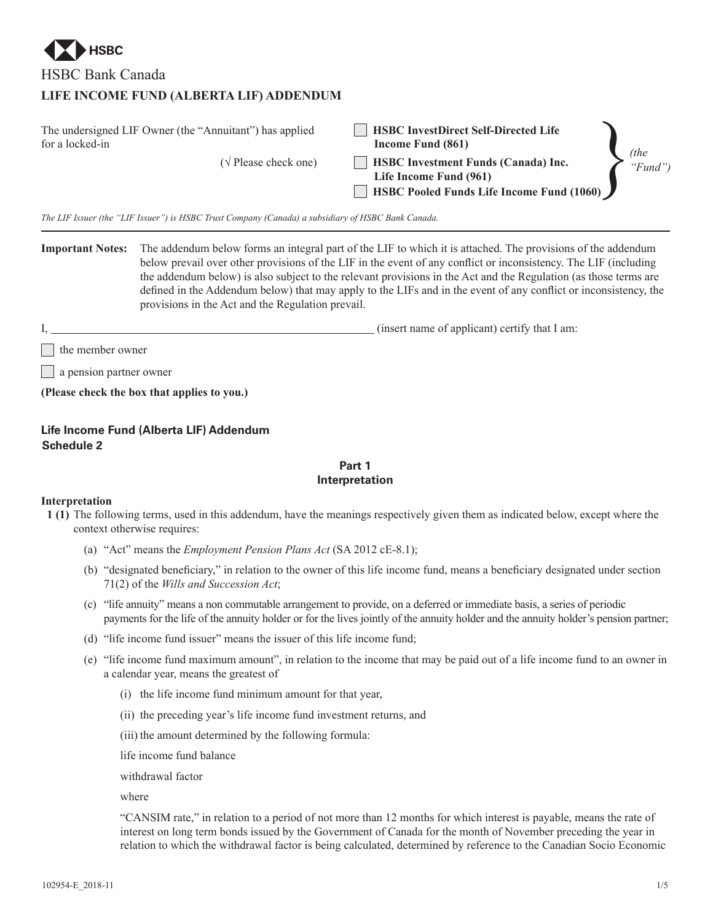

HSBC Bank Canada

# **LIFE INCOME FUND (ALBERTA LIF) ADDENDUM**

| The undersigned LIF Owner (the "Annuitant") has applied<br>for a locked-in | <b>HSBC InvestDirect Self-Directed Life</b><br>Income Fund (861) | <i>(the)</i> |
|----------------------------------------------------------------------------|------------------------------------------------------------------|--------------|
| $(\sqrt{\text{Please check one}})$                                         | <b>HSBC Investment Funds (Canada) Inc.</b>                       | " $Fund$ ")  |
|                                                                            | Life Income Fund (961)                                           |              |
|                                                                            | <b>HSBC Pooled Funds Life Income Fund (1060)</b>                 |              |

*The LIF Issuer (the "LIF Issuer") is HSBC Trust Company (Canada) a subsidiary of HSBC Bank Canada.*

**Important Notes:** The addendum below forms an integral part of the LIF to which it is attached. The provisions of the addendum below prevail over other provisions of the LIF in the event of any conflict or inconsistency. The LIF (including the addendum below) is also subject to the relevant provisions in the Act and the Regulation (as those terms are defined in the Addendum below) that may apply to the LIFs and in the event of any conflict or inconsistency, the provisions in the Act and the Regulation prevail.

I, (insert name of applicant) certify that I am:

 $\vert \cdot \vert$  the member owner

| a pension partner owner

**(Please check the box that applies to you.)**

## **Life Income Fund (Alberta LIF) Addendum Schedule 2**

## **Part 1 Interpretation**

## **Interpretation**

- **1 (1)** The following terms, used in this addendum, have the meanings respectively given them as indicated below, except where the context otherwise requires:
	- (a) "Act" means the *Employment Pension Plans Act* (SA 2012 cE-8.1);
	- (b) "designated beneficiary," in relation to the owner of this life income fund, means a beneficiary designated under section 71(2) of the *Wills and Succession Act*;
	- (c) "life annuity" means a non commutable arrangement to provide, on a deferred or immediate basis, a series of periodic payments for the life of the annuity holder or for the lives jointly of the annuity holder and the annuity holder's pension partner;
	- (d) "life income fund issuer" means the issuer of this life income fund;
	- (e) "life income fund maximum amount", in relation to the income that may be paid out of a life income fund to an owner in a calendar year, means the greatest of
		- (i) the life income fund minimum amount for that year,
		- (ii) the preceding year's life income fund investment returns, and
		- (iii) the amount determined by the following formula:
		- life income fund balance

withdrawal factor

where

"CANSIM rate," in relation to a period of not more than 12 months for which interest is payable, means the rate of interest on long term bonds issued by the Government of Canada for the month of November preceding the year in relation to which the withdrawal factor is being calculated, determined by reference to the Canadian Socio Economic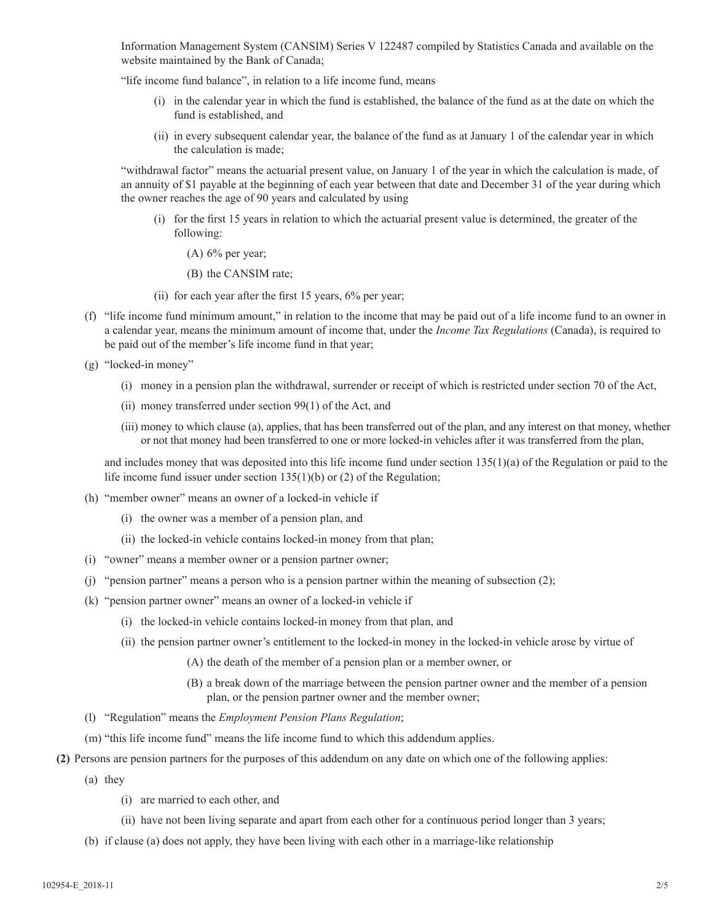Information Management System (CANSIM) Series V 122487 compiled by Statistics Canada and available on the website maintained by the Bank of Canada;

"life income fund balance", in relation to a life income fund, means

- (i) in the calendar year in which the fund is established, the balance of the fund as at the date on which the fund is established, and
- (ii) in every subsequent calendar year, the balance of the fund as at January 1 of the calendar year in which the calculation is made;

"withdrawal factor" means the actuarial present value, on January 1 of the year in which the calculation is made, of an annuity of \$1 payable at the beginning of each year between that date and December 31 of the year during which the owner reaches the age of 90 years and calculated by using

- (i) for the first 15 years in relation to which the actuarial present value is determined, the greater of the following:
	- (A) 6% per year;
	- (B) the CANSIM rate;
- (ii) for each year after the first 15 years, 6% per year;
- (f) "life income fund minimum amount," in relation to the income that may be paid out of a life income fund to an owner in a calendar year, means the minimum amount of income that, under the *Income Tax Regulations* (Canada), is required to be paid out of the member's life income fund in that year;
- (g) "locked-in money"
	- (i) money in a pension plan the withdrawal, surrender or receipt of which is restricted under section 70 of the Act,
	- (ii) money transferred under section 99(1) of the Act, and
	- (iii) money to which clause (a), applies, that has been transferred out of the plan, and any interest on that money, whether or not that money had been transferred to one or more locked-in vehicles after it was transferred from the plan,

and includes money that was deposited into this life income fund under section  $135(1)(a)$  of the Regulation or paid to the life income fund issuer under section 135(1)(b) or (2) of the Regulation;

- (h) "member owner" means an owner of a locked-in vehicle if
	- (i) the owner was a member of a pension plan, and
	- (ii) the locked-in vehicle contains locked-in money from that plan;
- (i) "owner" means a member owner or a pension partner owner;
- (j) "pension partner" means a person who is a pension partner within the meaning of subsection (2);
- (k) "pension partner owner" means an owner of a locked-in vehicle if
	- (i) the locked-in vehicle contains locked-in money from that plan, and
	- (ii) the pension partner owner's entitlement to the locked-in money in the locked-in vehicle arose by virtue of
		- (A) the death of the member of a pension plan or a member owner, or
		- (B) a break down of the marriage between the pension partner owner and the member of a pension plan, or the pension partner owner and the member owner;
- (l) "Regulation" means the *Employment Pension Plans Regulation*;
- (m) "this life income fund" means the life income fund to which this addendum applies.
- **(2)** Persons are pension partners for the purposes of this addendum on any date on which one of the following applies:
	- (a) they
		- (i) are married to each other, and
		- (ii) have not been living separate and apart from each other for a continuous period longer than 3 years;
	- (b) if clause (a) does not apply, they have been living with each other in a marriage-like relationship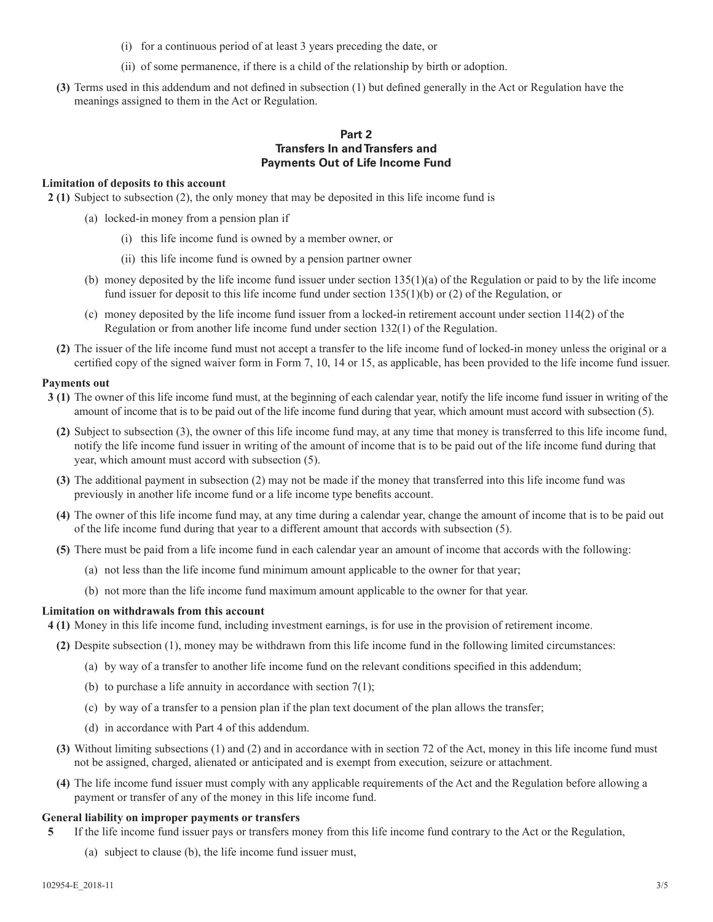- (i) for a continuous period of at least 3 years preceding the date, or
- (ii) of some permanence, if there is a child of the relationship by birth or adoption.
- **(3)** Terms used in this addendum and not defined in subsection (1) but defined generally in the Act or Regulation have the meanings assigned to them in the Act or Regulation.

## **Part 2 Transfers In and Transfers and Payments Out of Life Income Fund**

### **Limitation of deposits to this account**

**2 (1)** Subject to subsection (2), the only money that may be deposited in this life income fund is

- (a) locked-in money from a pension plan if
	- (i) this life income fund is owned by a member owner, or
	- (ii) this life income fund is owned by a pension partner owner
- (b) money deposited by the life income fund issuer under section  $135(1)(a)$  of the Regulation or paid to by the life income fund issuer for deposit to this life income fund under section 135(1)(b) or (2) of the Regulation, or
- (c) money deposited by the life income fund issuer from a locked-in retirement account under section 114(2) of the Regulation or from another life income fund under section 132(1) of the Regulation.
- **(2)** The issuer of the life income fund must not accept a transfer to the life income fund of locked-in money unless the original or a certified copy of the signed waiver form in Form 7, 10, 14 or 15, as applicable, has been provided to the life income fund issuer.

## **Payments out**

- **3 (1)** The owner of this life income fund must, at the beginning of each calendar year, notify the life income fund issuer in writing of the amount of income that is to be paid out of the life income fund during that year, which amount must accord with subsection (5).
	- **(2)** Subject to subsection (3), the owner of this life income fund may, at any time that money is transferred to this life income fund, notify the life income fund issuer in writing of the amount of income that is to be paid out of the life income fund during that year, which amount must accord with subsection (5).
	- **(3)** The additional payment in subsection (2) may not be made if the money that transferred into this life income fund was previously in another life income fund or a life income type benefits account.
	- **(4)** The owner of this life income fund may, at any time during a calendar year, change the amount of income that is to be paid out of the life income fund during that year to a different amount that accords with subsection (5).
	- **(5)** There must be paid from a life income fund in each calendar year an amount of income that accords with the following:
		- (a) not less than the life income fund minimum amount applicable to the owner for that year;
		- (b) not more than the life income fund maximum amount applicable to the owner for that year.

## **Limitation on withdrawals from this account**

**4 (1)** Money in this life income fund, including investment earnings, is for use in the provision of retirement income.

- **(2)** Despite subsection (1), money may be withdrawn from this life income fund in the following limited circumstances:
	- (a) by way of a transfer to another life income fund on the relevant conditions specified in this addendum;
	- (b) to purchase a life annuity in accordance with section  $7(1)$ ;
	- (c) by way of a transfer to a pension plan if the plan text document of the plan allows the transfer;
	- (d) in accordance with Part 4 of this addendum.
- **(3)** Without limiting subsections (1) and (2) and in accordance with in section 72 of the Act, money in this life income fund must not be assigned, charged, alienated or anticipated and is exempt from execution, seizure or attachment.
- **(4)** The life income fund issuer must comply with any applicable requirements of the Act and the Regulation before allowing a payment or transfer of any of the money in this life income fund.

### **General liability on improper payments or transfers**

- **5** If the life income fund issuer pays or transfers money from this life income fund contrary to the Act or the Regulation,
	- (a) subject to clause (b), the life income fund issuer must,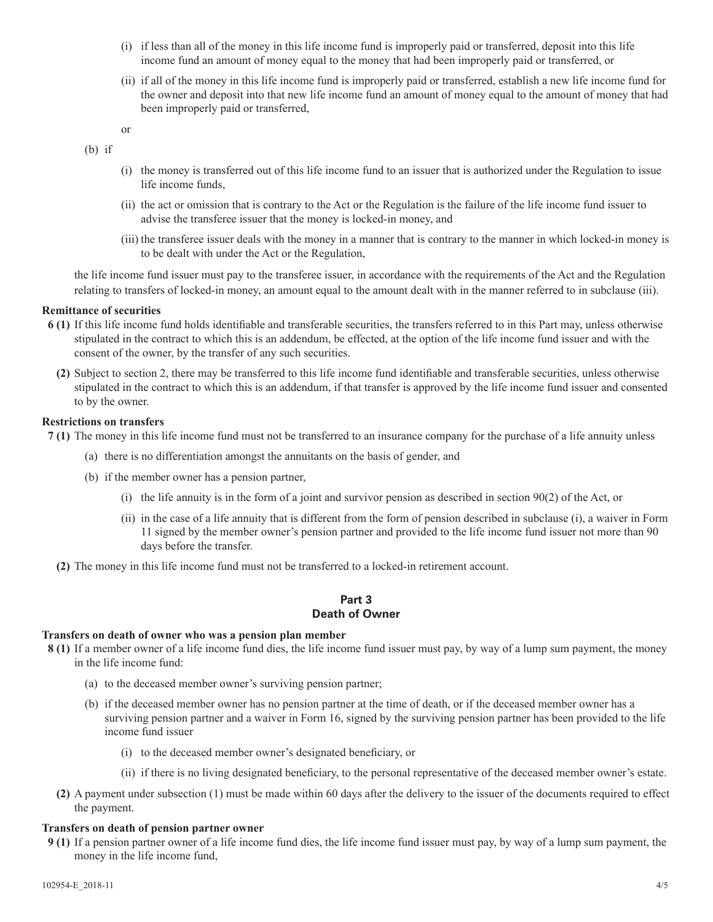- (i) if less than all of the money in this life income fund is improperly paid or transferred, deposit into this life income fund an amount of money equal to the money that had been improperly paid or transferred, or
- (ii) if all of the money in this life income fund is improperly paid or transferred, establish a new life income fund for the owner and deposit into that new life income fund an amount of money equal to the amount of money that had been improperly paid or transferred,

or

(b) if

- (i) the money is transferred out of this life income fund to an issuer that is authorized under the Regulation to issue life income funds,
- (ii) the act or omission that is contrary to the Act or the Regulation is the failure of the life income fund issuer to advise the transferee issuer that the money is locked-in money, and
- (iii) the transferee issuer deals with the money in a manner that is contrary to the manner in which locked-in money is to be dealt with under the Act or the Regulation,

the life income fund issuer must pay to the transferee issuer, in accordance with the requirements of the Act and the Regulation relating to transfers of locked-in money, an amount equal to the amount dealt with in the manner referred to in subclause (iii).

## **Remittance of securities**

- **6 (1)** If this life income fund holds identifiable and transferable securities, the transfers referred to in this Part may, unless otherwise stipulated in the contract to which this is an addendum, be effected, at the option of the life income fund issuer and with the consent of the owner, by the transfer of any such securities.
	- **(2)** Subject to section 2, there may be transferred to this life income fund identifiable and transferable securities, unless otherwise stipulated in the contract to which this is an addendum, if that transfer is approved by the life income fund issuer and consented to by the owner.

## **Restrictions on transfers**

- **7 (1)** The money in this life income fund must not be transferred to an insurance company for the purchase of a life annuity unless
	- (a) there is no differentiation amongst the annuitants on the basis of gender, and
	- (b) if the member owner has a pension partner,
		- (i) the life annuity is in the form of a joint and survivor pension as described in section 90(2) of the Act, or
		- (ii) in the case of a life annuity that is different from the form of pension described in subclause (i), a waiver in Form 11 signed by the member owner's pension partner and provided to the life income fund issuer not more than 90 days before the transfer.
	- **(2)** The money in this life income fund must not be transferred to a locked-in retirement account.

## **Part 3 Death of Owner**

### **Transfers on death of owner who was a pension plan member**

- **8 (1)** If a member owner of a life income fund dies, the life income fund issuer must pay, by way of a lump sum payment, the money in the life income fund:
	- (a) to the deceased member owner's surviving pension partner;
	- (b) if the deceased member owner has no pension partner at the time of death, or if the deceased member owner has a surviving pension partner and a waiver in Form 16, signed by the surviving pension partner has been provided to the life income fund issuer
		- (i) to the deceased member owner's designated beneficiary, or
		- (ii) if there is no living designated beneficiary, to the personal representative of the deceased member owner's estate.
	- **(2)** A payment under subsection (1) must be made within 60 days after the delivery to the issuer of the documents required to effect the payment.

### **Transfers on death of pension partner owner**

**9 (1)** If a pension partner owner of a life income fund dies, the life income fund issuer must pay, by way of a lump sum payment, the money in the life income fund,